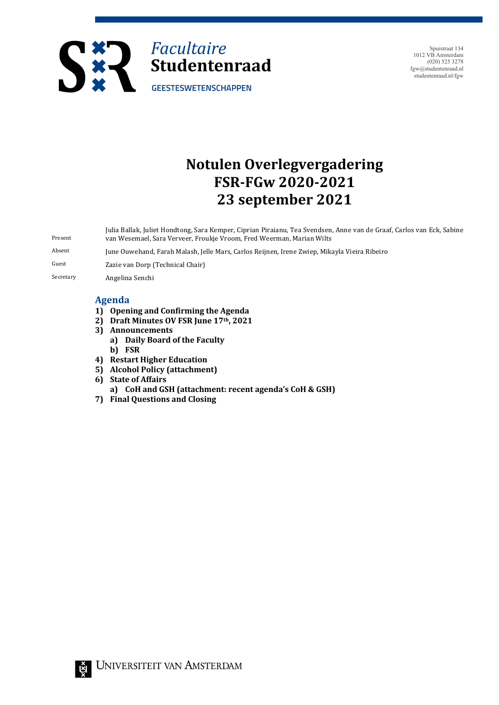

Spuistraat 134 1012 VB Amsterdam (020) 525 3278 fgw@studentenraad.nl studentenraad.nl/fgw

# **Notulen Overlegvergadering FSR-FGw 2020-2021 23 september 2021**

Present Julia Ballak, Juliet Hondtong, Sara Kemper, Ciprian Piraianu, Tea Svendsen, Anne van de Graaf, Carlos van Eck, Sabine van Wesemael, Sara Verveer, Froukje Vroom, Fred Weerman, Marian Wilts Absent June Ouwehand, Farah Malash, Jelle Mars, Carlos Reijnen, Irene Zwiep, Mikayla Vieira Ribeiro

Guest **Zazie** van Dorp (Technical Chair)

Secretary **Angelina Senchi** 

## **Agenda**

- 1) Opening and Confirming the Agenda
- **2) Draft Minutes OV FSR June 17th, 2021**
- **3) Announcements** 
	- **a) Daily Board of the Faculty b) FSR**
- **4)** Restart Higher Education
- **5) Alcohol Policy (attachment)**
- **6)** State of Affairs
	- **a) CoH and GSH (attachment: recent agenda's CoH & GSH)**
- **7) Final Questions and Closing**

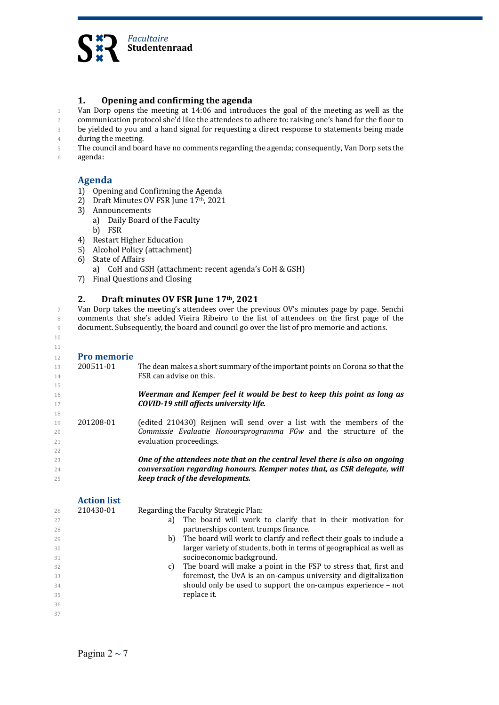

## **1. Opening and confirming the agenda**

1 Van Dorp opens the meeting at  $14:06$  and introduces the goal of the meeting as well as the 2 communication protocol she'd like the attendees to adhere to: raising one's hand for the floor to 3 be yielded to you and a hand signal for requesting a direct response to statements being made

4 during the meeting.

5 The council and board have no comments regarding the agenda; consequently, Van Dorp sets the

6 agenda:

# **Agenda**

- 1) Opening and Confirming the Agenda
- 2) Draft Minutes OV FSR June 17th, 2021
- 3) Announcements
	- a) Daily Board of the Faculty
	- b) FSR
- 4) Restart Higher Education
- 5) Alcohol Policy (attachment)
- 6) State of Affairs
	- a) CoH and GSH (attachment: recent agenda's CoH & GSH)
- 7) Final Questions and Closing

## 2. **Draft minutes OV FSR June 17th, 2021**

7 Van Dorp takes the meeting's attendees over the previous OV's minutes page by page. Senchi 8 comments that she's added Vieira Ribeiro to the list of attendees on the first page of the 9 document. Subsequently, the board and council go over the list of pro memorie and actions.

10 11

22

## 12 **Pro memorie**

- 13 200511-01 The dean makes a short summary of the important points on Corona so that the 14 **FSR** can advise on this. 15 16 *Weerman and Kemper feel it would be best to keep this point as long as* 17 *COVID-19 still affects university life.* 18
- 19 201208-01 (edited 210430) Reijnen will send over a list with the members of the 20 *Commissie Evaluatie Honoursprogramma FGw* **and the structure of the** 21 **evaluation proceedings.**
- <sup>23</sup> *One of the attendees note that on the central level there is also on ongoing* <sup>24</sup> *conversation regarding honours. Kemper notes that, as CSR delegate, will keep track of the developments.*

#### **Action** list 26 210430-01

|  | Regarding the Faculty Strategic Plan: |
|--|---------------------------------------|
|--|---------------------------------------|

- 27 **a**) The board will work to clarify that in their motivation for 28 **partnerships content trumps finance.** 29 b) The board will work to clarify and reflect their goals to include a
- 30 **larger variety of students, both in terms of geographical as well as** 31 socioeconomic background.
- 32 c) The board will make a point in the FSP to stress that, first and 33 *s* **foremost**, the UvA is an on-campus university and digitalization  $34$  should only be used to support the on-campus experience – not 35 replace it.
- 36 37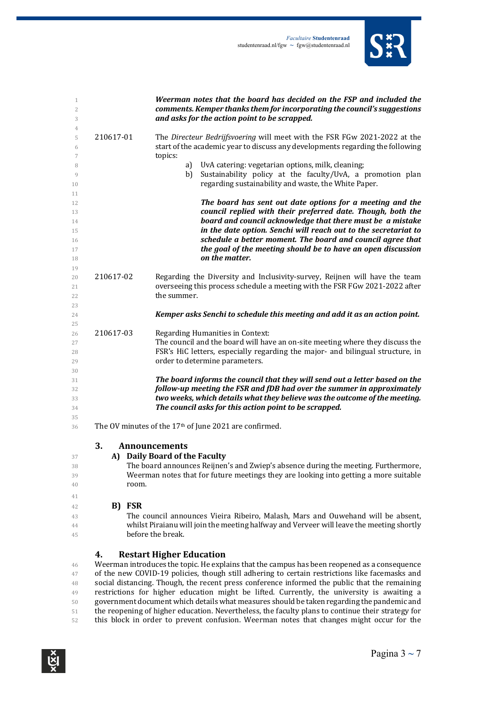

| 1<br>$\overline{c}$<br>3                     |             | Weerman notes that the board has decided on the FSP and included the<br>comments. Kemper thanks them for incorporating the council's suggestions<br>and asks for the action point to be scrapped.                                                                                                                                                                                                         |  |  |
|----------------------------------------------|-------------|-----------------------------------------------------------------------------------------------------------------------------------------------------------------------------------------------------------------------------------------------------------------------------------------------------------------------------------------------------------------------------------------------------------|--|--|
| 4<br>5<br>6<br>7                             | 210617-01   | The Directeur Bedrijfsvoering will meet with the FSR FGw 2021-2022 at the<br>start of the academic year to discuss any developments regarding the following<br>topics:                                                                                                                                                                                                                                    |  |  |
| 8<br>9<br>10                                 |             | UvA catering: vegetarian options, milk, cleaning;<br>a)<br>Sustainability policy at the faculty/UvA, a promotion plan<br>b)<br>regarding sustainability and waste, the White Paper.                                                                                                                                                                                                                       |  |  |
| 11<br>12<br>13<br>14<br>15<br>16<br>17<br>18 |             | The board has sent out date options for a meeting and the<br>council replied with their preferred date. Though, both the<br>board and council acknowledge that there must be a mistake<br>in the date option. Senchi will reach out to the secretariat to<br>schedule a better moment. The board and council agree that<br>the goal of the meeting should be to have an open discussion<br>on the matter. |  |  |
| 19<br>20<br>21<br>22                         | 210617-02   | Regarding the Diversity and Inclusivity-survey, Reijnen will have the team<br>overseeing this process schedule a meeting with the FSR FGw 2021-2022 after<br>the summer.                                                                                                                                                                                                                                  |  |  |
| 23<br>24                                     |             | Kemper asks Senchi to schedule this meeting and add it as an action point.                                                                                                                                                                                                                                                                                                                                |  |  |
| 25<br>26<br>27<br>28<br>29                   | 210617-03   | Regarding Humanities in Context:<br>The council and the board will have an on-site meeting where they discuss the<br>FSR's HiC letters, especially regarding the major- and bilingual structure, in<br>order to determine parameters.                                                                                                                                                                     |  |  |
| 30<br>31<br>32<br>33<br>34                   |             | The board informs the council that they will send out a letter based on the<br>follow-up meeting the FSR and fDB had over the summer in approximately<br>two weeks, which details what they believe was the outcome of the meeting.<br>The council asks for this action point to be scrapped.                                                                                                             |  |  |
| 35<br>36                                     |             | The OV minutes of the 17 <sup>th</sup> of June 2021 are confirmed.                                                                                                                                                                                                                                                                                                                                        |  |  |
| 37<br>38<br>39<br>40                         | 3.<br>room. | <b>Announcements</b><br>A) Daily Board of the Faculty<br>The board announces Reijnen's and Zwiep's absence during the meeting. Furthermore,<br>Weerman notes that for future meetings they are looking into getting a more suitable                                                                                                                                                                       |  |  |
| 41<br>42<br>43<br>44<br>45                   | B) FSR      | The council announces Vieira Ribeiro, Malash, Mars and Ouwehand will be absent,<br>whilst Piraianu will join the meeting halfway and Verveer will leave the meeting shortly<br>before the break.                                                                                                                                                                                                          |  |  |

## **4. Restart Higher Education**

46 Weerman introduces the topic. He explains that the campus has been reopened as a consequence 47 of the new COVID-19 policies, though still adhering to certain restrictions like facemasks and 48 social distancing. Though, the recent press conference informed the public that the remaining 49 restrictions for higher education might be lifted. Currently, the university is awaiting a 50 government document which details what measures should be taken regarding the pandemic and 51 the reopening of higher education. Nevertheless, the faculty plans to continue their strategy for 52 this block in order to prevent confusion. Weerman notes that changes might occur for the

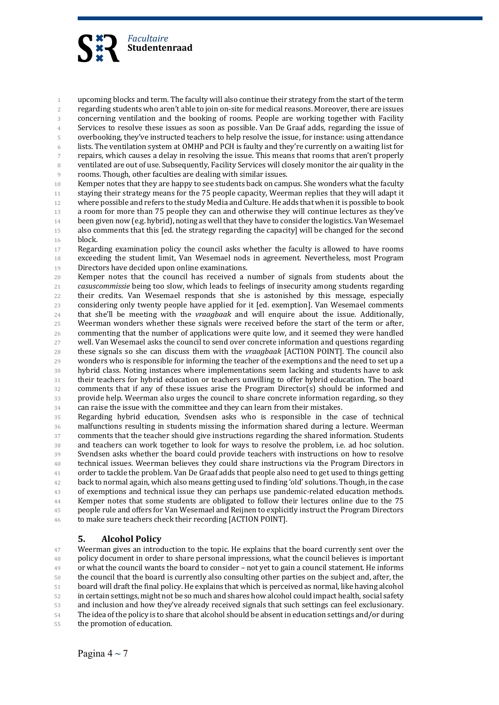

1 upcoming blocks and term. The faculty will also continue their strategy from the start of the term 2 regarding students who aren't able to join on-site for medical reasons. Moreover, there are issues 3 concerning ventilation and the booking of rooms. People are working together with Facility 4 Services to resolve these issues as soon as possible. Van De Graaf adds, regarding the issue of 5 overbooking, they've instructed teachers to help resolve the issue, for instance: using attendance 6 lists. The ventilation system at OMHP and PCH is faulty and they're currently on a waiting list for 7 repairs, which causes a delay in resolving the issue. This means that rooms that aren't properly 8 ventilated are out of use. Subsequently, Facility Services will closely monitor the air quality in the 9 rooms. Though, other faculties are dealing with similar issues.

10 Kemper notes that they are happy to see students back on campus. She wonders what the faculty 11 staying their strategy means for the 75 people capacity, Weerman replies that they will adapt it 12 where possible and refers to the study Media and Culture. He adds that when it is possible to book 13 a room for more than 75 people they can and otherwise they will continue lectures as they've 14 been given now (e.g. hybrid), noting as well that they have to consider the logistics. Van Wesemael 15 also comments that this [ed. the strategy regarding the capacity] will be changed for the second 16 block. 

17 Regarding examination policy the council asks whether the faculty is allowed to have rooms 18 exceeding the student limit, Van Wesemael nods in agreement. Nevertheless, most Program 19 Directors have decided upon online examinations.

20 Kemper notes that the council has received a number of signals from students about the 21 *casuscommissie* being too slow, which leads to feelings of insecurity among students regarding 22 their credits. Van Wesemael responds that she is astonished by this message, especially 23 considering only twenty people have applied for it [ed. exemption]. Van Wesemael comments 24 that she'll be meeting with the *vraagbaak* and will enquire about the issue. Additionally, 25 Weerman wonders whether these signals were received before the start of the term or after, 26 commenting that the number of applications were quite low, and it seemed they were handled 27 well. Van Wesemael asks the council to send over concrete information and questions regarding 28 these signals so she can discuss them with the *vraagbaak* [ACTION POINT]. The council also 29 wonders who is responsible for informing the teacher of the exemptions and the need to set up a 30 hybrid class. Noting instances where implementations seem lacking and students have to ask 31 their teachers for hybrid education or teachers unwilling to offer hybrid education. The board 32 comments that if any of these issues arise the Program Director(s) should be informed and 33 provide help. Weerman also urges the council to share concrete information regarding, so they 34 can raise the issue with the committee and they can learn from their mistakes.

35 Regarding hybrid education, Svendsen asks who is responsible in the case of technical 36 malfunctions resulting in students missing the information shared during a lecture. Weerman 37 comments that the teacher should give instructions regarding the shared information. Students 38 and teachers can work together to look for ways to resolve the problem, i.e. ad hoc solution. 39 Svendsen asks whether the board could provide teachers with instructions on how to resolve <sup>40</sup> technical issues. Weerman believes they could share instructions via the Program Directors in 41 order to tackle the problem. Van De Graaf adds that people also need to get used to things getting  $42$  back to normal again, which also means getting used to finding 'old' solutions. Though, in the case 43 of exemptions and technical issue they can perhaps use pandemic-related education methods. 44 Kemper notes that some students are obligated to follow their lectures online due to the 75 45 people rule and offers for Van Wesemael and Reijnen to explicitly instruct the Program Directors 46 to make sure teachers check their recording [ACTION POINT].

## **5. Alcohol Policy**

<sup>47</sup> Weerman gives an introduction to the topic. He explains that the board currently sent over the 48 policy document in order to share personal impressions, what the council believes is important 49 or what the council wants the board to consider – not yet to gain a council statement. He informs 50 the council that the board is currently also consulting other parties on the subject and, after, the 51 board will draft the final policy. He explains that which is perceived as normal, like having alcohol 52 in certain settings, might not be so much and shares how alcohol could impact health, social safety 53 and inclusion and how they've already received signals that such settings can feel exclusionary. 54 The idea of the policy is to share that alcohol should be absent in education settings and/or during 55 the promotion of education.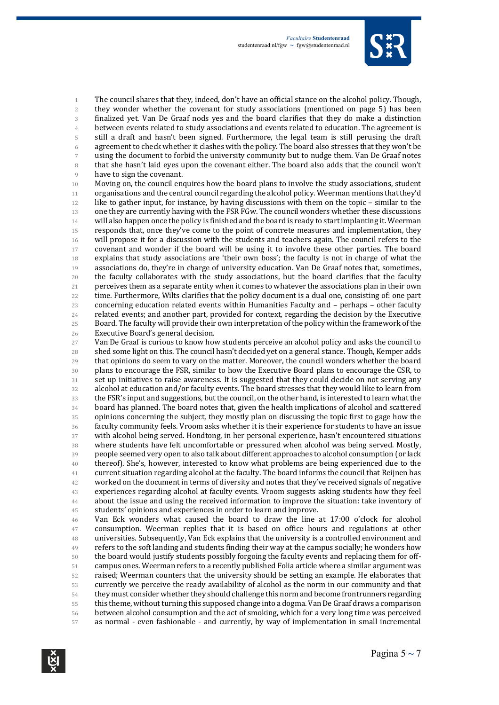

1 The council shares that they, indeed, don't have an official stance on the alcohol policy. Though, 2 they wonder whether the covenant for study associations (mentioned on page 5) has been 3 finalized yet. Van De Graaf nods yes and the board clarifies that they do make a distinction <sup>4</sup> between events related to study associations and events related to education. The agreement is 5 still a draft and hasn't been signed. Furthermore, the legal team is still perusing the draft  $6$  agreement to check whether it clashes with the policy. The board also stresses that they won't be 7 using the document to forbid the university community but to nudge them. Van De Graaf notes 8 that she hasn't laid eyes upon the covenant either. The board also adds that the council won't 9 have to sign the covenant.

10 Moving on, the council enquires how the board plans to involve the study associations, student 11 organisations and the central council regarding the alcohol policy. Weerman mentions that they'd 12 like to gather input, for instance, by having discussions with them on the topic – similar to the 13 one they are currently having with the FSR FGw. The council wonders whether these discussions  $14$  will also happen once the policy is finished and the board is ready to start implanting it. Weerman 15 responds that, once they've come to the point of concrete measures and implementation, they 16 will propose it for a discussion with the students and teachers again. The council refers to the 17 covenant and wonder if the board will be using it to involve these other parties. The board 18 explains that study associations are 'their own boss'; the faculty is not in charge of what the 19 associations do, they're in charge of university education. Van De Graaf notes that, sometimes, 20 the faculty collaborates with the study associations, but the board clarifies that the faculty 21 perceives them as a separate entity when it comes to whatever the associations plan in their own 22 time. Furthermore, Wilts clarifies that the policy document is a dual one, consisting of: one part 23 concerning education related events within Humanities Faculty and - perhaps - other faculty 24 related events; and another part, provided for context, regarding the decision by the Executive 25 Board. The faculty will provide their own interpretation of the policy within the framework of the 26 Executive Board's general decision.

27 Van De Graaf is curious to know how students perceive an alcohol policy and asks the council to 28 shed some light on this. The council hasn't decided yet on a general stance. Though, Kemper adds 29 that opinions do seem to vary on the matter. Moreover, the council wonders whether the board 30 plans to encourage the FSR, similar to how the Executive Board plans to encourage the CSR, to 31 set up initiatives to raise awareness. It is suggested that they could decide on not serving any 32 alcohol at education and/or faculty events. The board stresses that they would like to learn from 33 the FSR's input and suggestions, but the council, on the other hand, is interested to learn what the 34 board has planned. The board notes that, given the health implications of alcohol and scattered 35 opinions concerning the subject, they mostly plan on discussing the topic first to gage how the 36 faculty community feels. Vroom asks whether it is their experience for students to have an issue 37 with alcohol being served. Hondtong, in her personal experience, hasn't encountered situations 38 where students have felt uncomfortable or pressured when alcohol was being served. Mostly, 39 people seemed very open to also talk about different approaches to alcohol consumption (or lack <sup>40</sup> thereof). She's, however, interested to know what problems are being experienced due to the  $41$  current situation regarding alcohol at the faculty. The board informs the council that Reijnen has <sup>42</sup> worked on the document in terms of diversity and notes that they've received signals of negative <sup>43</sup> experiences regarding alcohol at faculty events. Vroom suggests asking students how they feel <sup>44</sup> about the issue and using the received information to improve the situation: take inventory of 45 students' opinions and experiences in order to learn and improve.

46 Van Eck wonders what caused the board to draw the line at 17:00 o'clock for alcohol 47 consumption. Weerman replies that it is based on office hours and regulations at other <sup>48</sup> universities. Subsequently, Van Eck explains that the university is a controlled environment and  $49$  refers to the soft landing and students finding their way at the campus socially; he wonders how 50 the board would justify students possibly forgoing the faculty events and replacing them for off-51 campus ones. Weerman refers to a recently published Folia article where a similar argument was 52 raised; Weerman counters that the university should be setting an example. He elaborates that 53 currently we perceive the ready availability of alcohol as the norm in our community and that 54 they must consider whether they should challenge this norm and become frontrunners regarding 55 this theme, without turning this supposed change into a dogma. Van De Graaf draws a comparison 56 between alcohol consumption and the act of smoking, which for a very long time was perceived 57 as normal - even fashionable - and currently, by way of implementation in small incremental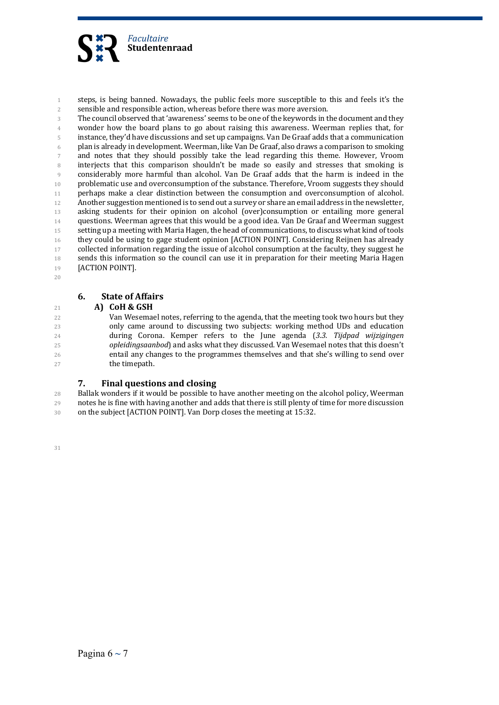

1 steps, is being banned. Nowadays, the public feels more susceptible to this and feels it's the 2 sensible and responsible action, whereas before there was more aversion.

3 The council observed that 'awareness' seems to be one of the keywords in the document and they 4 wonder how the board plans to go about raising this awareness. Weerman replies that, for 5 instance, they'd have discussions and set up campaigns. Van De Graaf adds that a communication 6 plan is already in development. Weerman, like Van De Graaf, also draws a comparison to smoking 7 and notes that they should possibly take the lead regarding this theme. However, Vroom 8 interjects that this comparison shouldn't be made so easily and stresses that smoking is 9 considerably more harmful than alcohol. Van De Graaf adds that the harm is indeed in the 10 problematic use and overconsumption of the substance. Therefore, Vroom suggests they should 11 perhaps make a clear distinction between the consumption and overconsumption of alcohol. 12 Another suggestion mentioned is to send out a survey or share an email address in the newsletter, 13 asking students for their opinion on alcohol (over)consumption or entailing more general 14 questions. Weerman agrees that this would be a good idea. Van De Graaf and Weerman suggest 15 setting up a meeting with Maria Hagen, the head of communications, to discuss what kind of tools 16 they could be using to gage student opinion [ACTION POINT]. Considering Reijnen has already 17 collected information regarding the issue of alcohol consumption at the faculty, they suggest he 18 sends this information so the council can use it in preparation for their meeting Maria Hagen 19 **[ACTION POINT].** 

20

## **6. State of Affairs**

### <sup>21</sup> **A) CoH & GSH**

22 Van Wesemael notes, referring to the agenda, that the meeting took two hours but they 23 only came around to discussing two subjects: working method UDs and education 24 during Corona. Kemper refers to the June agenda (3.3. Tijdpad wijzigingen 25 *opleidingsaanbod*) and asks what they discussed. Van Wesemael notes that this doesn't 26 entail any changes to the programmes themselves and that she's willing to send over 27 the timepath.

## **7.** Final questions and closing

28 Ballak wonders if it would be possible to have another meeting on the alcohol policy, Weerman 29 notes he is fine with having another and adds that there is still plenty of time for more discussion 30 on the subject [ACTION POINT]. Van Dorp closes the meeting at 15:32.

31